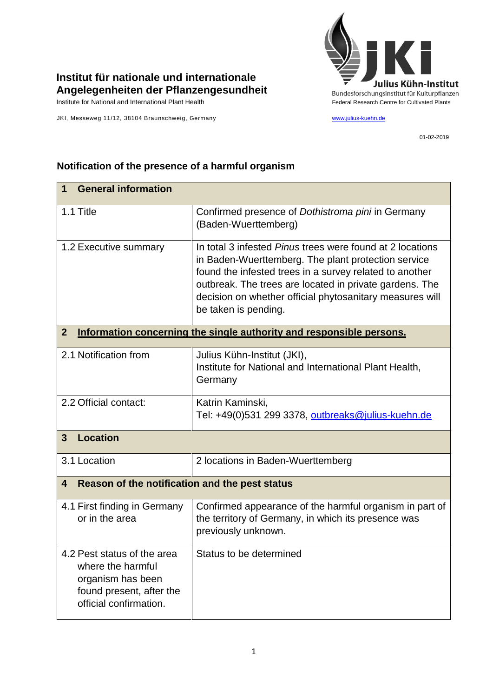

## **Institut für nationale und internationale Angelegenheiten der Pflanzengesundheit**

JKI, Messeweg 11/12, 38104 Braunschweig, Germany [www.julius-kuehn.de](http://www.julius-kuehn.de/)

01-02-2019

| <b>General information</b><br>$\mathbf 1$                                                                                   |                                                                                                                                                                                                                                                                                                                                   |  |
|-----------------------------------------------------------------------------------------------------------------------------|-----------------------------------------------------------------------------------------------------------------------------------------------------------------------------------------------------------------------------------------------------------------------------------------------------------------------------------|--|
| 1.1 Title                                                                                                                   | Confirmed presence of Dothistroma pini in Germany<br>(Baden-Wuerttemberg)                                                                                                                                                                                                                                                         |  |
| 1.2 Executive summary                                                                                                       | In total 3 infested <i>Pinus</i> trees were found at 2 locations<br>in Baden-Wuerttemberg. The plant protection service<br>found the infested trees in a survey related to another<br>outbreak. The trees are located in private gardens. The<br>decision on whether official phytosanitary measures will<br>be taken is pending. |  |
| Information concerning the single authority and responsible persons.<br>$\mathbf{2}$                                        |                                                                                                                                                                                                                                                                                                                                   |  |
| 2.1 Notification from                                                                                                       | Julius Kühn-Institut (JKI),<br>Institute for National and International Plant Health,<br>Germany                                                                                                                                                                                                                                  |  |
| 2.2 Official contact:                                                                                                       | Katrin Kaminski,<br>Tel: +49(0)531 299 3378, outbreaks@julius-kuehn.de                                                                                                                                                                                                                                                            |  |
| <b>Location</b><br>$\overline{3}$                                                                                           |                                                                                                                                                                                                                                                                                                                                   |  |
| 3.1 Location                                                                                                                | 2 locations in Baden-Wuerttemberg                                                                                                                                                                                                                                                                                                 |  |
| Reason of the notification and the pest status<br>4                                                                         |                                                                                                                                                                                                                                                                                                                                   |  |
| 4.1 First finding in Germany<br>or in the area                                                                              | Confirmed appearance of the harmful organism in part of<br>the territory of Germany, in which its presence was<br>previously unknown.                                                                                                                                                                                             |  |
| 4.2 Pest status of the area<br>where the harmful<br>organism has been<br>found present, after the<br>official confirmation. | Status to be determined                                                                                                                                                                                                                                                                                                           |  |

## **Notification of the presence of a harmful organism**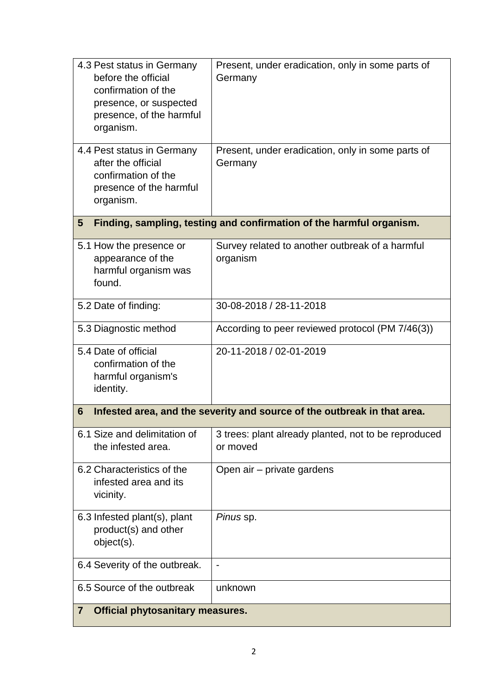| 4.3 Pest status in Germany<br>before the official<br>confirmation of the<br>presence, or suspected<br>presence, of the harmful<br>organism. | Present, under eradication, only in some parts of<br>Germany     |  |
|---------------------------------------------------------------------------------------------------------------------------------------------|------------------------------------------------------------------|--|
| 4.4 Pest status in Germany<br>after the official<br>confirmation of the<br>presence of the harmful<br>organism.                             | Present, under eradication, only in some parts of<br>Germany     |  |
| Finding, sampling, testing and confirmation of the harmful organism.<br>5                                                                   |                                                                  |  |
| 5.1 How the presence or<br>appearance of the<br>harmful organism was<br>found.                                                              | Survey related to another outbreak of a harmful<br>organism      |  |
| 5.2 Date of finding:                                                                                                                        | 30-08-2018 / 28-11-2018                                          |  |
| 5.3 Diagnostic method                                                                                                                       | According to peer reviewed protocol (PM 7/46(3))                 |  |
| 5.4 Date of official<br>confirmation of the<br>harmful organism's<br>identity.                                                              | 20-11-2018 / 02-01-2019                                          |  |
| Infested area, and the severity and source of the outbreak in that area.<br>6                                                               |                                                                  |  |
| 6.1 Size and delimitation of<br>the infested area.                                                                                          | 3 trees: plant already planted, not to be reproduced<br>or moved |  |
| 6.2 Characteristics of the<br>infested area and its<br>vicinity.                                                                            | Open air - private gardens                                       |  |
| 6.3 Infested plant(s), plant<br>product(s) and other<br>object(s).                                                                          | Pinus sp.                                                        |  |
| 6.4 Severity of the outbreak.                                                                                                               | $\overline{\phantom{a}}$                                         |  |
| 6.5 Source of the outbreak                                                                                                                  | unknown                                                          |  |
| <b>Official phytosanitary measures.</b><br>$\mathbf{7}$                                                                                     |                                                                  |  |